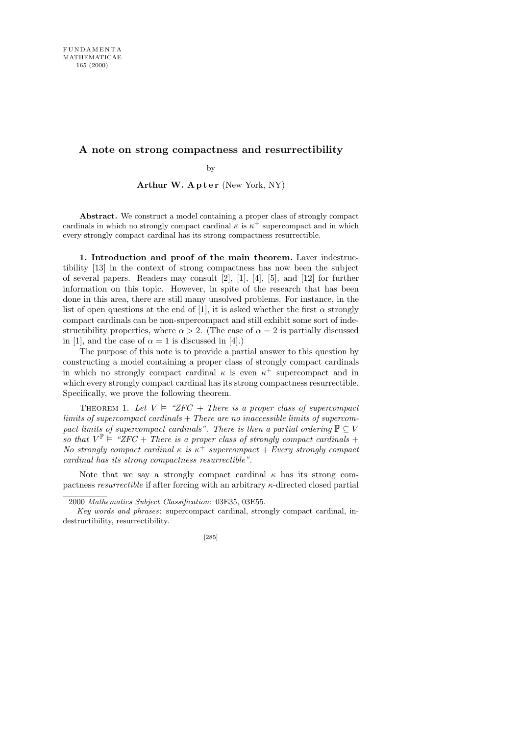## **A note on strong compactness and resurrectibility**

by

Arthur W.  $A$ pter (New York, NY)

**Abstract.** We construct a model containing a proper class of strongly compact cardinals in which no strongly compact cardinal  $\kappa$  is  $\kappa^+$  supercompact and in which every strongly compact cardinal has its strong compactness resurrectible.

1. Introduction and proof of the main theorem. Laver indestructibility [13] in the context of strong compactness has now been the subject of several papers. Readers may consult [2], [1], [4], [5], and [12] for further information on this topic. However, in spite of the research that has been done in this area, there are still many unsolved problems. For instance, in the list of open questions at the end of [1], it is asked whether the first  $\alpha$  strongly compact cardinals can be non-supercompact and still exhibit some sort of indestructibility properties, where  $\alpha > 2$ . (The case of  $\alpha = 2$  is partially discussed in [1], and the case of  $\alpha = 1$  is discussed in [4].)

The purpose of this note is to provide a partial answer to this question by constructing a model containing a proper class of strongly compact cardinals in which no strongly compact cardinal  $\kappa$  is even  $\kappa^+$  supercompact and in which every strongly compact cardinal has its strong compactness resurrectible. Specifically, we prove the following theorem.

THEOREM 1. Let  $V \models$  "ZFC + There is a proper class of supercompact limits of supercompact cardinals  $+$  There are no inaccessible limits of supercompact limits of supercompact cardinals". There is then a partial ordering  $\mathbb{P} \subset V$ so that  $V^{\mathbb{P}} \models \text{``ZFC + There is a proper class of strongly compact cardinals +}$ No strongly compact cardinal  $\kappa$  is  $\kappa^+$  supercompact + Every strongly compact cardinal has its strong compactness resurrectible".

Note that we say a strongly compact cardinal  $\kappa$  has its strong compactness resurrectible if after forcing with an arbitrary κ-directed closed partial

*Key words and phrases*: supercompact cardinal, strongly compact cardinal, indestructibility, resurrectibility.



<sup>2000</sup> *Mathematics Subject Classification*: 03E35, 03E55.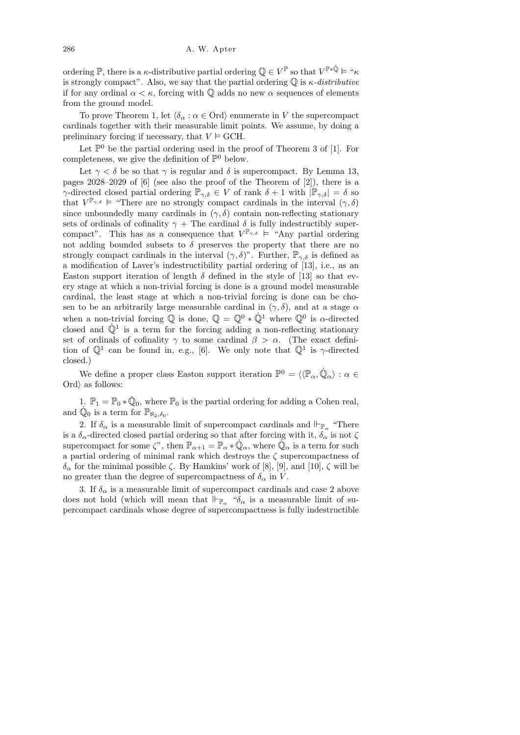ordering  $\mathbb{P}$ , there is a  $\kappa$ -distributive partial ordering  $\mathbb{Q} \in V^{\mathbb{P}}$  so that  $V^{\mathbb{P} * \dot{\mathbb{Q}}} \models " \kappa$ is strongly compact". Also, we say that the partial ordering  $\mathbb Q$  is  $\kappa$ -distributive if for any ordinal  $\alpha < \kappa$ , forcing with  $\mathbb Q$  adds no new  $\alpha$  sequences of elements from the ground model.

To prove Theorem 1, let  $\langle \delta_{\alpha} : \alpha \in \text{Ord} \rangle$  enumerate in V the supercompact cardinals together with their measurable limit points. We assume, by doing a preliminary forcing if necessary, that  $V \models \text{GCH}$ .

Let  $\mathbb{P}^0$  be the partial ordering used in the proof of Theorem 3 of [1]. For completeness, we give the definition of  $\mathbb{P}^0$  below.

Let  $\gamma < \delta$  be so that  $\gamma$  is regular and  $\delta$  is supercompact. By Lemma 13, pages 2028–2029 of [6] (see also the proof of the Theorem of [2]), there is a γ-directed closed partial ordering  $\mathbb{P}_{\gamma,\delta} \in V$  of rank  $\delta + 1$  with  $|\mathbb{P}_{\gamma,\delta}| = \delta$  so that  $V^{\mathbb{P}_{\gamma,\delta}} \models$  "There are no strongly compact cardinals in the interval  $(\gamma,\delta)$ since unboundedly many cardinals in  $(\gamma, \delta)$  contain non-reflecting stationary sets of ordinals of cofinality  $\gamma$  + The cardinal  $\delta$  is fully indestructibly supercompact". This has as a consequence that  $V^{\mathbb{P}_{\gamma,\delta}} \models$  "Any partial ordering not adding bounded subsets to  $\delta$  preserves the property that there are no strongly compact cardinals in the interval  $(\gamma, \delta)$ ". Further,  $\mathbb{P}_{\gamma,\delta}$  is defined as a modification of Laver's indestructibility partial ordering of [13], i.e., as an Easton support iteration of length  $\delta$  defined in the style of [13] so that every stage at which a non-trivial forcing is done is a ground model measurable cardinal, the least stage at which a non-trivial forcing is done can be chosen to be an arbitrarily large measurable cardinal in  $(\gamma, \delta)$ , and at a stage  $\alpha$ when a non-trivial forcing  $\mathbb{Q}$  is done,  $\mathbb{Q} = \mathbb{Q}^0 * \dot{\mathbb{Q}}^1$  where  $\mathbb{Q}^0$  is  $\alpha$ -directed closed and  $\dot{\mathbb{Q}}^1$  is a term for the forcing adding a non-reflecting stationary set of ordinals of cofinality  $\gamma$  to some cardinal  $\beta > \alpha$ . (The exact definition of  $\mathbb{Q}^1$  can be found in, e.g., [6]. We only note that  $\mathbb{Q}^1$  is  $\gamma$ -directed closed.)

We define a proper class Easton support iteration  $\mathbb{P}^0 = \langle \langle \mathbb{P}_{\alpha}, \dot{\mathbb{Q}}_{\alpha} \rangle : \alpha \in$ Ord $\rangle$  as follows:

1.  $\mathbb{P}_1 = \mathbb{P}_0 * \dot{\mathbb{Q}}_0$ , where  $\mathbb{P}_0$  is the partial ordering for adding a Cohen real, and  $\dot{\mathbb{Q}}_0$  is a term for  $\mathbb{P}_{\aleph_2,\delta_0}$ .

2. If  $\delta_{\alpha}$  is a measurable limit of supercompact cardinals and  $\mathbb{H}_{\mathbb{P}_{\alpha}}$  "There is a  $\delta_{\alpha}$ -directed closed partial ordering so that after forcing with it,  $\delta_{\alpha}$  is not  $\zeta$ supercompact for some  $\zeta$ ", then  $\mathbb{P}_{\alpha+1} = \mathbb{P}_{\alpha} * \dot{\mathbb{Q}}_{\alpha}$ , where  $\ddot{\mathbb{Q}}_{\alpha}$  is a term for such a partial ordering of minimal rank which destroys the  $\zeta$  supercompactness of δ<sub>α</sub> for the minimal possible ζ. By Hamkins' work of [8], [9], and [10], ζ will be no greater than the degree of supercompactness of  $\delta_{\alpha}$  in V.

3. If  $\delta_{\alpha}$  is a measurable limit of supercompact cardinals and case 2 above does not hold (which will mean that  $\Vdash_{\mathbb{P}_{\alpha}}$  " $\delta_{\alpha}$  is a measurable limit of supercompact cardinals whose degree of supercompactness is fully indestructible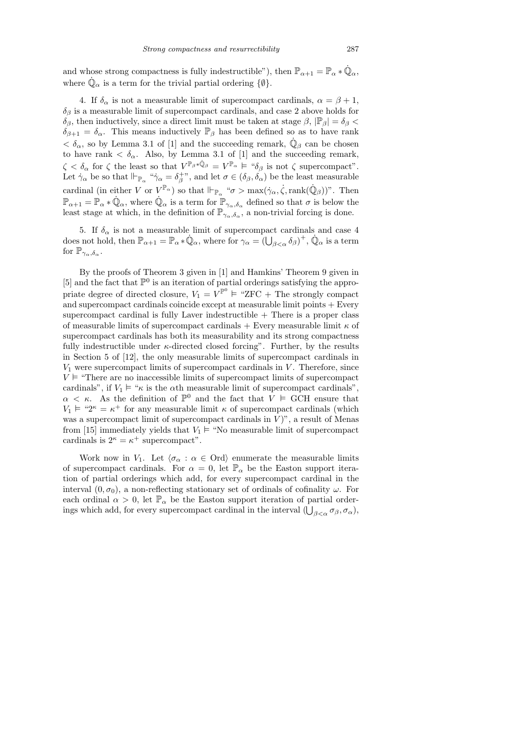and whose strong compactness is fully indestructible"), then  $\mathbb{P}_{\alpha+1} = \mathbb{P}_{\alpha} * \dot{\mathbb{Q}}_{\alpha}$ , where  $\dot{\mathbb{Q}}_{\alpha}$  is a term for the trivial partial ordering  $\{\emptyset\}$ .

4. If  $\delta_{\alpha}$  is not a measurable limit of supercompact cardinals,  $\alpha = \beta + 1$ ,  $\delta_{\beta}$  is a measurable limit of supercompact cardinals, and case 2 above holds for δβ, then inductively, since a direct limit must be taken at stage  $\beta$ ,  $|\mathbb{P}_{\beta}| = \delta_{\beta}$  $\delta_{\beta+1} = \delta_{\alpha}$ . This means inductively  $\mathbb{P}_{\beta}$  has been defined so as to have rank  $< \delta_{\alpha}$ , so by Lemma 3.1 of [1] and the succeeding remark,  $\dot{\mathbb{Q}}_{\beta}$  can be chosen to have rank  $\langle \delta_{\alpha}$ . Also, by Lemma 3.1 of [1] and the succeeding remark,  $\zeta < \delta_\alpha$  for  $\zeta$  the least so that  $V^{\mathbb{P}_\beta * \dot{\mathbb{Q}}_\beta} = V^{\mathbb{P}_\alpha} \models \text{``}\delta_\beta$  is not  $\zeta$  supercompact". Let  $\dot{\gamma}_{\alpha}$  be so that  $\Vdash_{\mathbb{P}_{\alpha}}$  " $\dot{\gamma}_{\alpha} = \delta_{\beta}^{+\gamma}$ , and let  $\sigma \in (\delta_{\beta}, \delta_{\alpha})$  be the least measurable cardinal (in either V or  $V^{\mathbb{P}_{\alpha}}$ ) so that  $\Vdash_{\mathbb{P}_{\alpha}} \text{``}\sigma > \max(\dot{\gamma}_{\alpha}, \dot{\zeta}, \text{rank}(\dot{\mathbb{Q}}_{\beta}))$ ". Then  $\mathbb{P}_{\alpha+1} = \mathbb{P}_{\alpha} * \dot{\mathbb{Q}}_{\alpha}$ , where  $\dot{\mathbb{Q}}_{\alpha}$  is a term for  $\mathbb{P}_{\gamma_{\alpha},\delta_{\alpha}}$  defined so that  $\sigma$  is below the least stage at which, in the definition of  $\mathbb{P}_{\gamma_\alpha,\delta_\alpha}^{(a),\alpha}$ , a non-trivial forcing is done.

5. If  $\delta_{\alpha}$  is not a measurable limit of supercompact cardinals and case 4 does not hold, then  $\mathbb{P}_{\alpha+1} = \mathbb{P}_{\alpha} * \dot{\mathbb{Q}}_{\alpha}$ , where for  $\gamma_{\alpha} = (\bigcup_{\beta < \alpha} \delta_{\beta})^+, \dot{\mathbb{Q}}_{\alpha}$  is a term for  $\mathbb{P}_{\gamma_{\alpha},\delta_{\alpha}}$ .

By the proofs of Theorem 3 given in [1] and Hamkins' Theorem 9 given in [5] and the fact that  $\mathbb{P}^0$  is an iteration of partial orderings satisfying the appropriate degree of directed closure,  $V_1 = V^{\mathbb{P}^0} \models {\mathbb{C}T}$  The strongly compact and supercompact cardinals coincide except at measurable limit points + Every supercompact cardinal is fully Laver indestructible  $+$  There is a proper class of measurable limits of supercompact cardinals  $+$  Every measurable limit  $\kappa$  of supercompact cardinals has both its measurability and its strong compactness fully indestructible under  $\kappa$ -directed closed forcing". Further, by the results in Section 5 of [12], the only measurable limits of supercompact cardinals in  $V_1$  were supercompact limits of supercompact cardinals in  $V$ . Therefore, since  $V \vDash$  "There are no inaccessible limits of supercompact limits of supercompact cardinals", if  $V_1 \models$  " $\kappa$  is the  $\alpha$ th measurable limit of supercompact cardinals".  $\alpha < \kappa$ . As the definition of  $\mathbb{P}^0$  and the fact that  $V \vDash$  GCH ensure that  $V_1 \models$  "2<sup>k</sup> =  $\kappa^+$  for any measurable limit  $\kappa$  of supercompact cardinals (which was a supercompact limit of supercompact cardinals in  $\tilde{V}$ ", a result of Menas from [15] immediately yields that  $V_1 \vDash$  "No measurable limit of supercompact cardinals is  $2^{\kappa} = \kappa^+$  supercompact".

Work now in  $V_1$ . Let  $\langle \sigma_\alpha : \alpha \in \text{Ord}\rangle$  enumerate the measurable limits of supercompact cardinals. For  $\alpha = 0$ , let  $\mathbb{P}_{\alpha}$  be the Easton support iteration of partial orderings which add, for every supercompact cardinal in the interval  $(0, \sigma_0)$ , a non-reflecting stationary set of ordinals of cofinality  $\omega$ . For each ordinal  $\alpha > 0$ , let  $\mathbb{P}_{\alpha}$  be the Easton support iteration of partial orderings which add, for every supercompact cardinal in the interval  $(\bigcup_{\beta<\alpha}\sigma_{\beta},\sigma_{\alpha}),$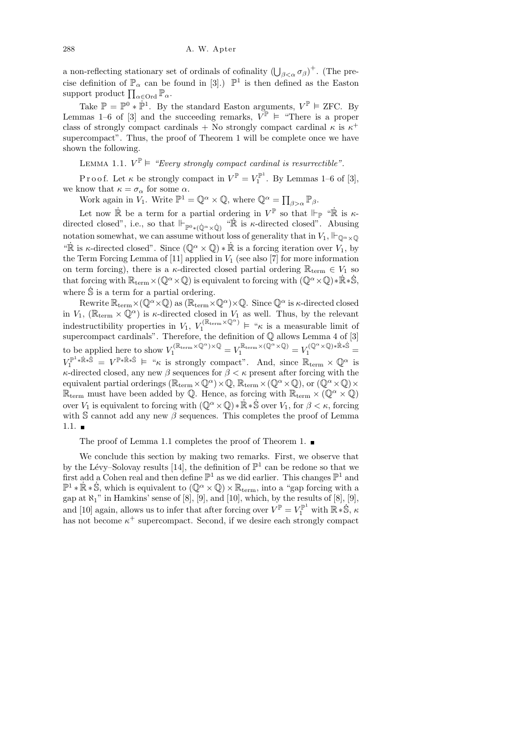a non-reflecting stationary set of ordinals of cofinality  $(\bigcup_{\beta<\alpha}\sigma_{\beta})^+$ . (The precise definition of  $\mathbb{P}_{\alpha}$  can be found in [3].)  $\mathbb{P}^{1}$  is then defined as the Easton support product  $\prod_{\alpha \in \text{Ord}}^{\infty} \mathbb{P}_{\alpha}$ .

Take  $\mathbb{P} = \mathbb{P}^0 * \dot{\mathbb{P}}^1$ . By the standard Easton arguments,  $V^{\mathbb{P}} \models$  ZFC. By Lemmas 1–6 of [3] and the succeeding remarks,  $V^{\mathbb{P}} \models$  "There is a proper class of strongly compact cardinals + No strongly compact cardinal  $\kappa$  is  $\kappa^+$ supercompact". Thus, the proof of Theorem 1 will be complete once we have shown the following.

LEMMA 1.1.  $V^{\mathbb{P}} \models$  "Every strongly compact cardinal is resurrectible".

P r o o f. Let  $\kappa$  be strongly compact in  $V^{\mathbb{P}} = V_1^{\mathbb{P}^1}$ . By Lemmas 1–6 of [3], we know that  $\kappa = \sigma_\alpha$  for some  $\alpha$ .

Work again in  $V_1$ . Write  $\mathbb{P}^1 = \mathbb{Q}^{\alpha} \times \mathbb{Q}$ , where  $\mathbb{Q}^{\alpha} = \prod_{\beta > \alpha} \mathbb{P}_{\beta}$ .

Let now  $\dot{\mathbb{R}}$  be a term for a partial ordering in  $V^{\mathbb{P}}$  so that  $\Vdash_{\mathbb{P}}$  " $\dot{\mathbb{R}}$  is  $\kappa$ directed closed", i.e., so that  $\Vdash_{\mathbb{P}^0*(\mathbb{Q}^{\alpha}\times\mathbb{Q})}$  " $\mathbb{R}$  is  $\kappa$ -directed closed". Abusing notation somewhat, we can assume without loss of generality that in  $V_1$ ,  $\Vdash_{\mathbb{Q}^{\alpha}\times\mathbb{Q}}$ " $\mathbb R$  is  $\kappa$ -directed closed". Since  $(\mathbb Q^{\alpha}\times\mathbb Q)*\mathbb R$  is a forcing iteration over  $V_1$ , by the Term Forcing Lemma of [11] applied in  $V_1$  (see also [7] for more information on term forcing), there is a  $\kappa$ -directed closed partial ordering  $\mathbb{R}_{\text{term}} \in V_1$  so that forcing with  $\mathbb{R}_{\text{term}} \times (\mathbb{Q}^{\alpha} \times \mathbb{Q})$  is equivalent to forcing with  $(\mathbb{Q}^{\alpha} \times \mathbb{Q}) * \dot{\mathbb{R}} * \dot{\mathbb{S}},$ where  $\hat{S}$  is a term for a partial ordering.

Rewrite  $\mathbb{R}_{\text{term}}\times(\mathbb{Q}^{\alpha}\times\mathbb{Q})$  as  $(\mathbb{R}_{\text{term}}\times\mathbb{Q}^{\alpha})\times\mathbb{Q}$ . Since  $\mathbb{Q}^{\alpha}$  is  $\kappa$ -directed closed in  $V_1$ , ( $\mathbb{R}_{\text{term}} \times \mathbb{Q}^{\alpha}$ ) is  $\kappa$ -directed closed in  $V_1$  as well. Thus, by the relevant indestructibility properties in  $V_1$ ,  $V_1^{(\mathbb{R}_{\text{term}} \times \mathbb{Q}^{\alpha})} \models$  " $\kappa$  is a measurable limit of supercompact cardinals". Therefore, the definition of  $\mathbb Q$  allows Lemma 4 of [3] to be applied here to show  $V_1^{(\mathbb{R}_{\text{term}} \times \mathbb{Q}^{\alpha}) \times \mathbb{Q}} = V_1^{\mathbb{R}_{\text{term}} \times (\mathbb{Q}^{\alpha} \times \mathbb{Q})} = V_1^{(\mathbb{Q}^{\alpha} \times \mathbb{Q}) * \mathbb{R} * \mathbb{S}}$  $V_1^{\mathbb{P}^1 * \dot{\mathbb{R}} * \dot{\mathbb{S}}} = V^{\mathbb{P} * \dot{\mathbb{R}} * \dot{\mathbb{S}}} \models \text{``$\kappa$ is strongly compact''}.$  And, since  $\mathbb{R}_{\text{term}} \times \mathbb{Q}^{\alpha}$  is  $\kappa$ -directed closed, any new  $\beta$  sequences for  $\beta < \kappa$  present after forcing with the equivalent partial orderings  $(\mathbb{R}_{\text{term}} \times \mathbb{Q}^{\alpha}) \times \mathbb{Q}, \mathbb{R}_{\text{term}} \times (\mathbb{Q}^{\alpha} \times \mathbb{Q}),$  or  $(\mathbb{Q}^{\alpha} \times \mathbb{Q}) \times$  $\mathbb{R}_{\text{term}}$  must have been added by  $\mathbb{Q}.$  Hence, as forcing with  $\mathbb{R}_{\text{term}}\times (\mathbb{Q}^{\alpha}\times \mathbb{Q})$ over  $V_1$  is equivalent to forcing with  $(\mathbb{Q}^{\alpha}\times\mathbb{Q})*\mathbb{R}*\mathbb{S}$  over  $V_1$ , for  $\beta<\kappa$ , forcing with S cannot add any new  $\beta$  sequences. This completes the proof of Lemma  $1.1.$ 

The proof of Lemma 1.1 completes the proof of Theorem 1. ■

We conclude this section by making two remarks. First, we observe that by the Lévy–Solovay results [14], the definition of  $\mathbb{P}^1$  can be redone so that we first add a Cohen real and then define  $\mathbb{P}^1$  as we did earlier. This changes  $\mathbb{P}^1$  and  $\mathbb{P}^1 * \mathbb{R} * \dot{\mathbb{S}}$ , which is equivalent to  $(\mathbb{Q}^{\alpha} \times \mathbb{Q}) \times \mathbb{R}_{\text{term}}$ , into a "gap forcing with a gap at  $\aleph_1$ " in Hamkins' sense of [8], [9], and [10], which, by the results of [8], [9], and [10] again, allows us to infer that after forcing over  $V^{\mathbb{P}} = V_1^{\mathbb{P}^1}$  with  $\mathbb{R} \ast \dot{\mathbb{S}}$ ,  $\kappa$ has not become  $\kappa^+$  supercompact. Second, if we desire each strongly compact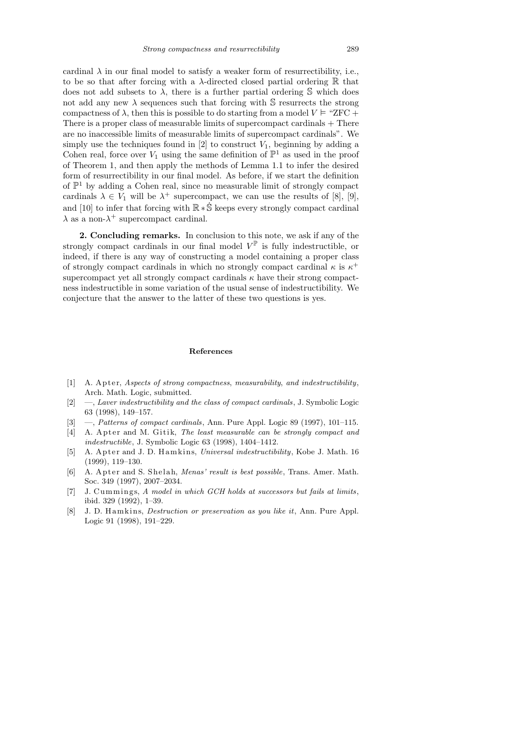cardinal  $\lambda$  in our final model to satisfy a weaker form of resurrectibility, i.e., to be so that after forcing with a  $\lambda$ -directed closed partial ordering R that does not add subsets to  $\lambda$ , there is a further partial ordering S which does not add any new  $\lambda$  sequences such that forcing with S resurrects the strong compactness of  $\lambda$ , then this is possible to do starting from a model  $V \vDash$  "ZFC + There is a proper class of measurable limits of supercompact cardinals + There are no inaccessible limits of measurable limits of supercompact cardinals". We simply use the techniques found in [2] to construct  $V_1$ , beginning by adding a Cohen real, force over  $V_1$  using the same definition of  $\mathbb{P}^1$  as used in the proof of Theorem 1, and then apply the methods of Lemma 1.1 to infer the desired form of resurrectibility in our final model. As before, if we start the definition of P <sup>1</sup> by adding a Cohen real, since no measurable limit of strongly compact cardinals  $\lambda \in V_1$  will be  $\lambda^+$  supercompact, we can use the results of [8], [9], and [10] to infer that forcing with  $\mathbb{R} * \dot{\mathbb{S}}$  keeps every strongly compact cardinal  $\lambda$  as a non- $\lambda^+$  supercompact cardinal.

2. Concluding remarks. In conclusion to this note, we ask if any of the strongly compact cardinals in our final model  $V^{\mathbb{P}}$  is fully indestructible, or indeed, if there is any way of constructing a model containing a proper class of strongly compact cardinals in which no strongly compact cardinal  $\kappa$  is  $\kappa^+$ supercompact yet all strongly compact cardinals  $\kappa$  have their strong compactness indestructible in some variation of the usual sense of indestructibility. We conjecture that the answer to the latter of these two questions is yes.

## **References**

- [1] A. Ap te r, *Aspects of strong compactness, measurability, and indestructibility*, Arch. Math. Logic, submitted.
- [2] —, *Laver indestructibility and the class of compact cardinals*, J. Symbolic Logic 63 (1998), 149–157.
- [3] —, *Patterns of compact cardinals*, Ann. Pure Appl. Logic 89 (1997), 101–115.
- [4] A. Apter and M. Gitik, *The least measurable can be strongly compact and indestructible*, J. Symbolic Logic 63 (1998), 1404–1412.
- [5] A. Apter and J. D. Hamkins, *Universal indestructibility*, Kobe J. Math. 16 (1999), 119–130.
- [6] A. Ap te r and S. Shel ah, *Menas' result is best possible*, Trans. Amer. Math. Soc. 349 (1997), 2007–2034.
- [7] J. Cummings, *A model in which GCH holds at successors but fails at limits*, ibid. 329 (1992), 1–39.
- [8] J. D. H am kin s, *Destruction or preservation as you like it*, Ann. Pure Appl. Logic 91 (1998), 191–229.